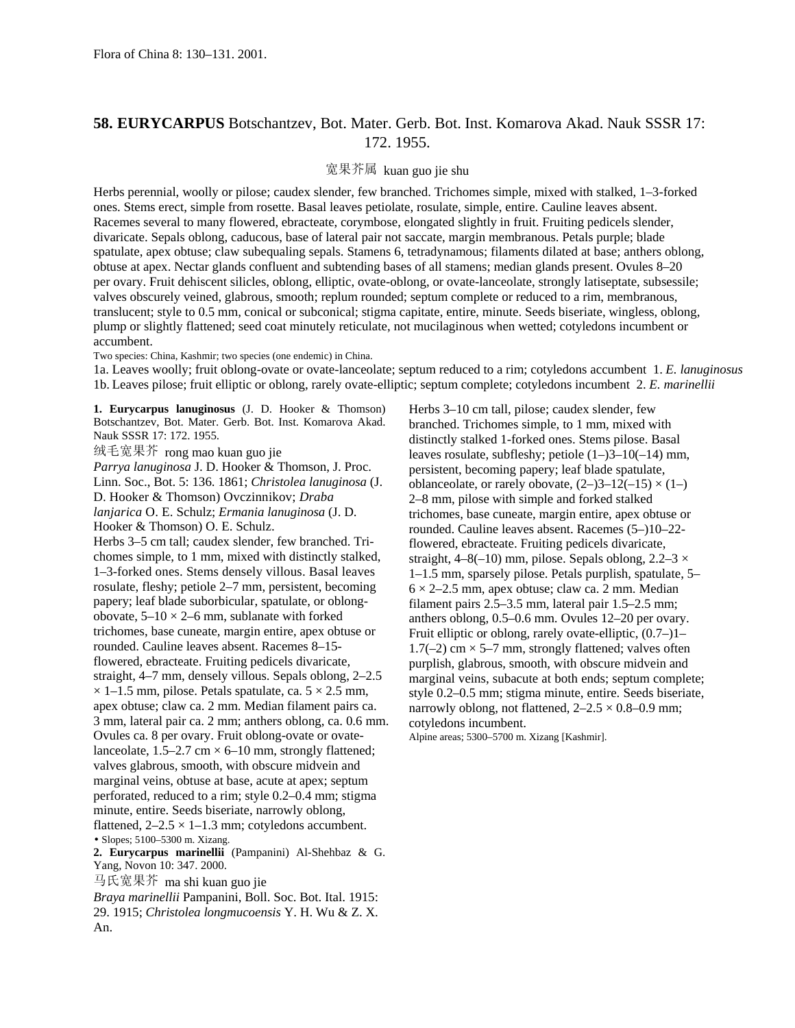## **58. EURYCARPUS** Botschantzev, Bot. Mater. Gerb. Bot. Inst. Komarova Akad. Nauk SSSR 17: 172. 1955.

## 宽果芥属 kuan guo jie shu

Herbs perennial, woolly or pilose; caudex slender, few branched. Trichomes simple, mixed with stalked, 1–3-forked ones. Stems erect, simple from rosette. Basal leaves petiolate, rosulate, simple, entire. Cauline leaves absent. Racemes several to many flowered, ebracteate, corymbose, elongated slightly in fruit. Fruiting pedicels slender, divaricate. Sepals oblong, caducous, base of lateral pair not saccate, margin membranous. Petals purple; blade spatulate, apex obtuse; claw subequaling sepals. Stamens 6, tetradynamous; filaments dilated at base; anthers oblong, obtuse at apex. Nectar glands confluent and subtending bases of all stamens; median glands present. Ovules 8–20 per ovary. Fruit dehiscent silicles, oblong, elliptic, ovate-oblong, or ovate-lanceolate, strongly latiseptate, subsessile; valves obscurely veined, glabrous, smooth; replum rounded; septum complete or reduced to a rim, membranous, translucent; style to 0.5 mm, conical or subconical; stigma capitate, entire, minute. Seeds biseriate, wingless, oblong, plump or slightly flattened; seed coat minutely reticulate, not mucilaginous when wetted; cotyledons incumbent or accumbent.

Two species: China, Kashmir; two species (one endemic) in China.

1a. Leaves woolly; fruit oblong-ovate or ovate-lanceolate; septum reduced to a rim; cotyledons accumbent 1. *E. lanuginosus* 1b. Leaves pilose; fruit elliptic or oblong, rarely ovate-elliptic; septum complete; cotyledons incumbent 2. *E. marinellii*

**1. Eurycarpus lanuginosus** (J. D. Hooker & Thomson) Botschantzev, Bot. Mater. Gerb. Bot. Inst. Komarova Akad. Nauk SSSR 17: 172. 1955.

绒毛宽果芥 rong mao kuan guo jie

*Parrya lanuginosa* J. D. Hooker & Thomson, J. Proc. Linn. Soc., Bot. 5: 136. 1861; *Christolea lanuginosa* (J. D. Hooker & Thomson) Ovczinnikov; *Draba lanjarica* O. E. Schulz; *Ermania lanuginosa* (J. D. Hooker & Thomson) O. E. Schulz. Herbs 3–5 cm tall; caudex slender, few branched. Trichomes simple, to 1 mm, mixed with distinctly stalked, 1–3-forked ones. Stems densely villous. Basal leaves rosulate, fleshy; petiole 2–7 mm, persistent, becoming

papery; leaf blade suborbicular, spatulate, or oblongobovate,  $5-10 \times 2-6$  mm, sublanate with forked trichomes, base cuneate, margin entire, apex obtuse or rounded. Cauline leaves absent. Racemes 8–15 flowered, ebracteate. Fruiting pedicels divaricate, straight, 4–7 mm, densely villous. Sepals oblong, 2–2.5  $\times$  1–1.5 mm, pilose. Petals spatulate, ca. 5  $\times$  2.5 mm, apex obtuse; claw ca. 2 mm. Median filament pairs ca. 3 mm, lateral pair ca. 2 mm; anthers oblong, ca. 0.6 mm. Ovules ca. 8 per ovary. Fruit oblong-ovate or ovatelanceolate,  $1.5-2.7$  cm  $\times$  6–10 mm, strongly flattened; valves glabrous, smooth, with obscure midvein and marginal veins, obtuse at base, acute at apex; septum perforated, reduced to a rim; style 0.2–0.4 mm; stigma minute, entire. Seeds biseriate, narrowly oblong, flattened,  $2-2.5 \times 1-1.3$  mm; cotyledons accumbent. • Slopes; 5100–5300 m. Xizang.

**2. Eurycarpus marinellii** (Pampanini) Al-Shehbaz & G. Yang, Novon 10: 347. 2000.

马氏宽果芥 ma shi kuan guo jie

*Braya marinellii* Pampanini, Boll. Soc. Bot. Ital. 1915: 29. 1915; *Christolea longmucoensis* Y. H. Wu & Z. X. An.

Herbs 3–10 cm tall, pilose; caudex slender, few branched. Trichomes simple, to 1 mm, mixed with distinctly stalked 1-forked ones. Stems pilose. Basal leaves rosulate, subfleshy; petiole (1–)3–10(–14) mm, persistent, becoming papery; leaf blade spatulate, oblanceolate, or rarely obovate,  $(2-)3-12(-15) \times (1-)$ 2–8 mm, pilose with simple and forked stalked trichomes, base cuneate, margin entire, apex obtuse or rounded. Cauline leaves absent. Racemes (5–)10–22 flowered, ebracteate. Fruiting pedicels divaricate, straight,  $4-8(-10)$  mm, pilose. Sepals oblong,  $2.2-3 \times$ 1–1.5 mm, sparsely pilose. Petals purplish, spatulate, 5–  $6 \times 2$ –2.5 mm, apex obtuse; claw ca. 2 mm. Median filament pairs 2.5–3.5 mm, lateral pair 1.5–2.5 mm; anthers oblong, 0.5–0.6 mm. Ovules 12–20 per ovary. Fruit elliptic or oblong, rarely ovate-elliptic, (0.7–)1– 1.7( $-2$ ) cm  $\times$  5–7 mm, strongly flattened; valves often purplish, glabrous, smooth, with obscure midvein and marginal veins, subacute at both ends; septum complete; style 0.2–0.5 mm; stigma minute, entire. Seeds biseriate, narrowly oblong, not flattened,  $2-2.5 \times 0.8-0.9$  mm; cotyledons incumbent.

Alpine areas; 5300–5700 m. Xizang [Kashmir].